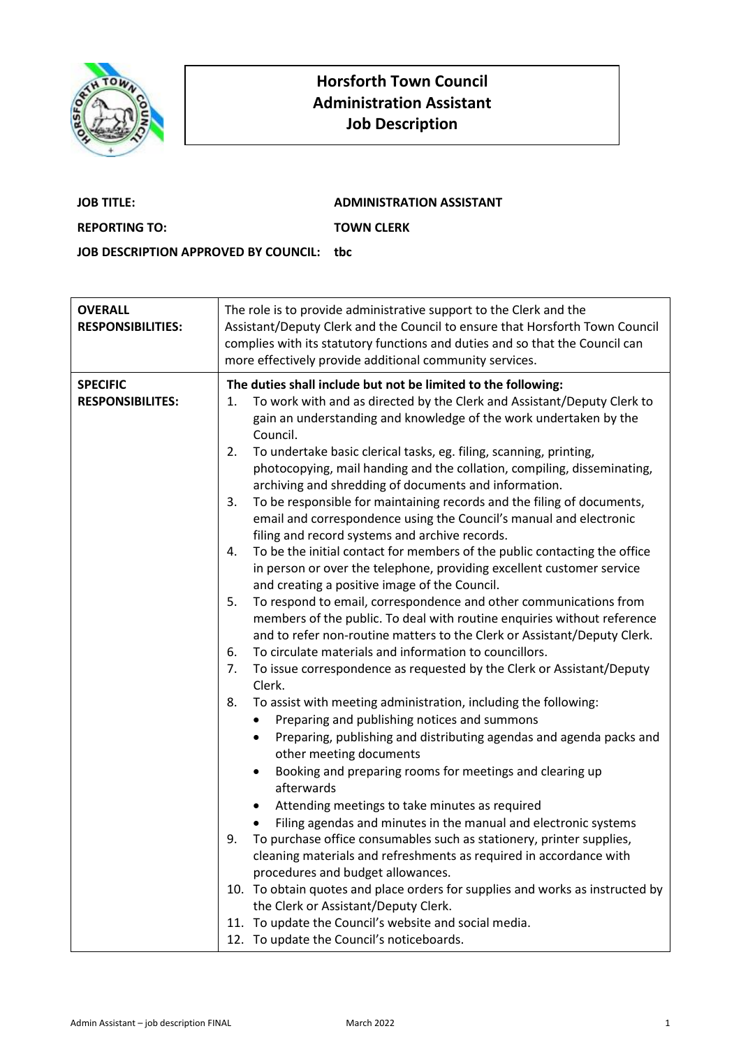

## **Horsforth Town Council Administration Assistant Job Description**

| <b>JOB TITLE:</b>                        | <b>ADMINISTRATION ASSISTANT</b> |
|------------------------------------------|---------------------------------|
| <b>REPORTING TO:</b>                     | <b>TOWN CLERK</b>               |
| JOB DESCRIPTION APPROVED BY COUNCIL: tbc |                                 |

| <b>OVERALL</b><br><b>RESPONSIBILITIES:</b> | The role is to provide administrative support to the Clerk and the<br>Assistant/Deputy Clerk and the Council to ensure that Horsforth Town Council<br>complies with its statutory functions and duties and so that the Council can<br>more effectively provide additional community services.                                                                                                                                                                                                                                                                                                                                                                                                                                                                                                                                                                                                                                                                                                                                                                                                                                                                                                                                                                                                                                                                                                                                                                                                                                                                                                                                                                                                                                                                                                                                                                                                                                                                                                                                                                                                                                                    |
|--------------------------------------------|--------------------------------------------------------------------------------------------------------------------------------------------------------------------------------------------------------------------------------------------------------------------------------------------------------------------------------------------------------------------------------------------------------------------------------------------------------------------------------------------------------------------------------------------------------------------------------------------------------------------------------------------------------------------------------------------------------------------------------------------------------------------------------------------------------------------------------------------------------------------------------------------------------------------------------------------------------------------------------------------------------------------------------------------------------------------------------------------------------------------------------------------------------------------------------------------------------------------------------------------------------------------------------------------------------------------------------------------------------------------------------------------------------------------------------------------------------------------------------------------------------------------------------------------------------------------------------------------------------------------------------------------------------------------------------------------------------------------------------------------------------------------------------------------------------------------------------------------------------------------------------------------------------------------------------------------------------------------------------------------------------------------------------------------------------------------------------------------------------------------------------------------------|
| <b>SPECIFIC</b><br><b>RESPONSIBILITES:</b> | The duties shall include but not be limited to the following:<br>To work with and as directed by the Clerk and Assistant/Deputy Clerk to<br>1.<br>gain an understanding and knowledge of the work undertaken by the<br>Council.<br>To undertake basic clerical tasks, eg. filing, scanning, printing,<br>2.<br>photocopying, mail handing and the collation, compiling, disseminating,<br>archiving and shredding of documents and information.<br>To be responsible for maintaining records and the filing of documents,<br>3.<br>email and correspondence using the Council's manual and electronic<br>filing and record systems and archive records.<br>To be the initial contact for members of the public contacting the office<br>4.<br>in person or over the telephone, providing excellent customer service<br>and creating a positive image of the Council.<br>To respond to email, correspondence and other communications from<br>5.<br>members of the public. To deal with routine enquiries without reference<br>and to refer non-routine matters to the Clerk or Assistant/Deputy Clerk.<br>To circulate materials and information to councillors.<br>6.<br>To issue correspondence as requested by the Clerk or Assistant/Deputy<br>7.<br>Clerk.<br>To assist with meeting administration, including the following:<br>8.<br>Preparing and publishing notices and summons<br>$\bullet$<br>Preparing, publishing and distributing agendas and agenda packs and<br>other meeting documents<br>Booking and preparing rooms for meetings and clearing up<br>$\bullet$<br>afterwards<br>Attending meetings to take minutes as required<br>٠<br>Filing agendas and minutes in the manual and electronic systems<br>To purchase office consumables such as stationery, printer supplies,<br>9.<br>cleaning materials and refreshments as required in accordance with<br>procedures and budget allowances.<br>10. To obtain quotes and place orders for supplies and works as instructed by<br>the Clerk or Assistant/Deputy Clerk.<br>11. To update the Council's website and social media.<br>12. To update the Council's noticeboards. |